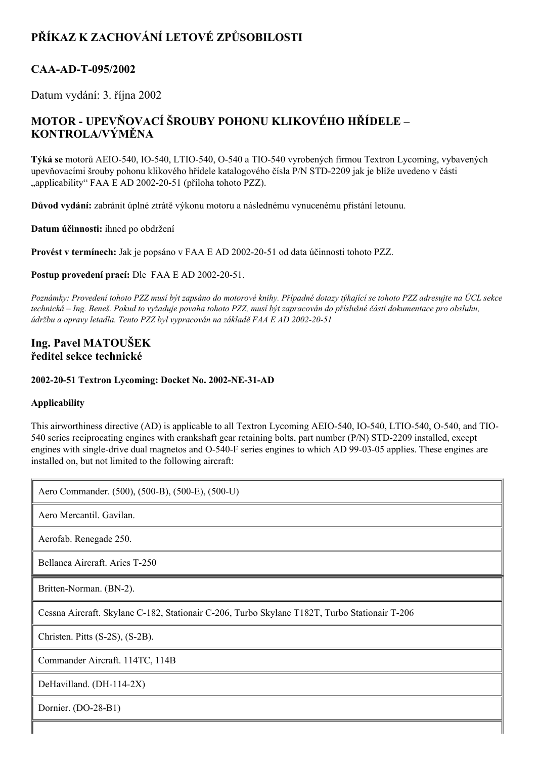# **PŘÍKAZ K ZACHOVÁNÍ LETOVÉ ZPŮSOBILOSTI**

# CAA-AD-T-095/2002

Datum vydání: 3. října 2002

# **MOTOR UPEVŇOVACÍ ŠROUBY POHONU KLIKOVÉHO HŘÍDELE – KONTROLA/VÝMĚNA**

**Týká se** motorů AEIO540, IO540, LTIO540, O540 a TIO540 vyrobených firmou Textron Lycoming, vybavených upevňovacími šrouby pohonu klikového hřídele katalogového čísla P/N STD-2209 jak je blíže uvedeno v části "applicability" FAA E AD 2002-20-51 (příloha tohoto PZZ).

**Důvod vydání:** zabránit úplné ztrátě výkonu motoru a následnému vynucenému přistání letounu.

**Datum účinnosti:** ihned po obdržení

**Provést v termínech:** Jak je popsáno v FAA E AD 20022051 od data účinnosti tohoto PZZ.

**Postup provedení prací:** Dle FAA E AD 2002-20-51.

Poznámky: Provedení tohoto PZZ musí být zapsáno do motorové knihy. Případné dotazy týkající se tohoto PZZ adresujte na ÚCL sekce technická – Ing. Beneš. Pokud to vyžaduje povaha tohoto PZZ, musí být zapracován do příslušné části dokumentace pro obsluhu. *údržbu a opravy letadla. Tento PZZ byl vypracován na základě FAA E AD 20022051*

## **Ing. Pavel MATOUŠEK ředitel sekce technické**

**20022051 Textron Lycoming: Docket No. 2002NE31AD**

### **Applicability**

Īī

This airworthiness directive (AD) is applicable to all Textron Lycoming AEIO-540, IO-540, LTIO-540, O-540, and TIO-540 series reciprocating engines with crankshaft gear retaining bolts, part number (P/N) STD-2209 installed, except engines with single-drive dual magnetos and O-540-F series engines to which AD 99-03-05 applies. These engines are installed on, but not limited to the following aircraft:

| Aero Commander. (500), (500-B), (500-E), (500-U)                                              |
|-----------------------------------------------------------------------------------------------|
| Aero Mercantil. Gavilan.                                                                      |
| Aerofab. Renegade 250.                                                                        |
| Bellanca Aircraft. Aries T-250                                                                |
| Britten-Norman. (BN-2).                                                                       |
| Cessna Aircraft. Skylane C-182, Stationair C-206, Turbo Skylane T182T, Turbo Stationair T-206 |
| Christen. Pitts $(S-2S)$ , $(S-2B)$ .                                                         |
| Commander Aircraft. 114TC, 114B                                                               |
| DeHavilland. (DH-114-2X)                                                                      |
| Dornier. (DO-28-B1)                                                                           |
|                                                                                               |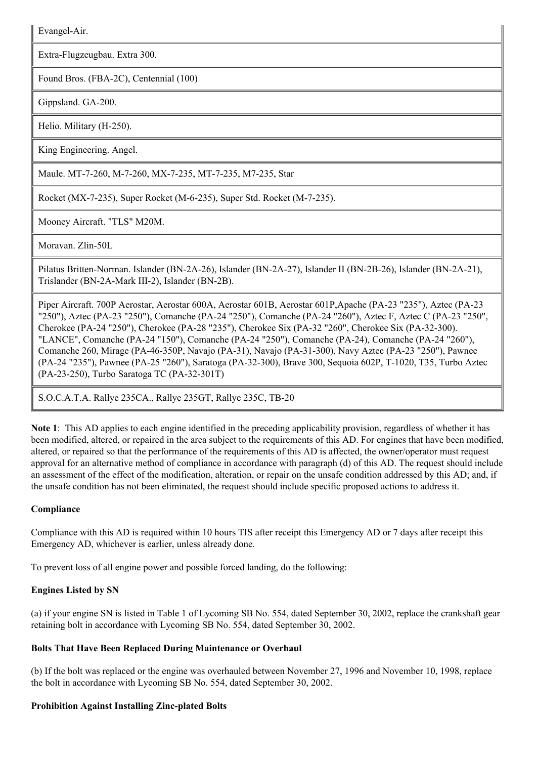Evangel-Air.

Extra-Flugzeugbau. Extra 300.

Found Bros. (FBA-2C), Centennial (100)

Gippsland. GA-200.

Helio. Military (H-250).

King Engineering. Angel.

Maule. MT-7-260, M-7-260, MX-7-235, MT-7-235, M7-235, Star

Rocket (MX-7-235), Super Rocket (M-6-235), Super Std. Rocket (M-7-235).

Mooney Aircraft. "TLS" M20M.

Moravan. Zlin-50L

Pilatus Britten-Norman. Islander (BN-2A-26), Islander (BN-2A-27), Islander II (BN-2B-26), Islander (BN-2A-21), Trislander (BN-2A-Mark III-2), Islander (BN-2B).

Piper Aircraft. 700P Aerostar, Aerostar 600A, Aerostar 601B, Aerostar 601P,Apache (PA23 "235"), Aztec (PA23 "250"), Aztec (PA23 "250"), Comanche (PA24 "250"), Comanche (PA24 "260"), Aztec F, Aztec C (PA23 "250", Cherokee (PA-24 "250"), Cherokee (PA-28 "235"), Cherokee Six (PA-32 "260", Cherokee Six (PA-32-300). "LANCE", Comanche (PA24 "150"), Comanche (PA24 "250"), Comanche (PA24), Comanche (PA24 "260"), Comanche 260, Mirage (PA-46-350P, Navajo (PA-31), Navajo (PA-31-300), Navy Aztec (PA-23 "250"), Pawnee (PA24 "235"), Pawnee (PA25 "260"), Saratoga (PA32300), Brave 300, Sequoia 602P, T1020, T35, Turbo Aztec (PA-23-250), Turbo Saratoga TC (PA-32-301T)

S.O.C.A.T.A. Rallye 235CA., Rallye 235GT, Rallye 235C, TB20

**Note 1**: This AD applies to each engine identified in the preceding applicability provision, regardless of whether it has been modified, altered, or repaired in the area subject to the requirements of this AD. For engines that have been modified, altered, or repaired so that the performance of the requirements of this AD is affected, the owner/operator must request approval for an alternative method of compliance in accordance with paragraph (d) of this AD. The request should include an assessment of the effect of the modification, alteration, or repair on the unsafe condition addressed by this AD; and, if the unsafe condition has not been eliminated, the request should include specific proposed actions to address it.

#### **Compliance**

Compliance with this AD is required within 10 hours TIS after receipt this Emergency AD or 7 days after receipt this Emergency AD, whichever is earlier, unless already done.

To prevent loss of all engine power and possible forced landing, do the following:

#### **Engines Listed by SN**

(a) if your engine SN is listed in Table 1 of Lycoming SB No. 554, dated September 30, 2002, replace the crankshaft gear retaining bolt in accordance with Lycoming SB No. 554, dated September 30, 2002.

#### **Bolts That Have Been Replaced During Maintenance or Overhaul**

(b) If the bolt was replaced or the engine was overhauled between November 27, 1996 and November 10, 1998, replace the bolt in accordance with Lycoming SB No. 554, dated September 30, 2002.

#### **Prohibition Against Installing Zincplated Bolts**